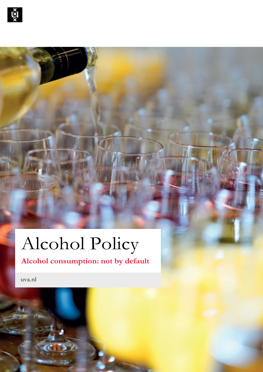

# Alcohol Policy

### **Alcohol consumption: not by default**

uva.nl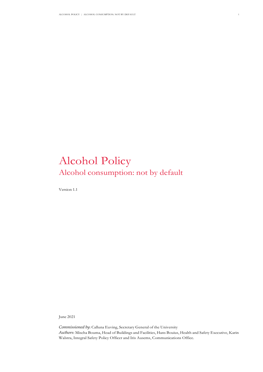### Alcohol Policy Alcohol consumption: not by default

Version 1.1

June 2021

*Commissioned by*: Calluna Euving, Secretary General of the University *Authors*: Mischa Bouma, Head of Buildings and Facilities, Hans Bouius, Health and Safety Executive, Karin Walstra, Integral Safety Policy Officer and Iris Ausems, Communications Office.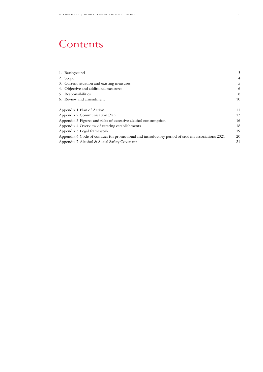### Contents

| 1. Background                                                                                   | 3  |
|-------------------------------------------------------------------------------------------------|----|
| 2. Scope                                                                                        | 4  |
| 3. Current situation and existing measures                                                      | 5  |
| 4. Objective and additional measures                                                            | 6  |
| 5. Responsibilities                                                                             | 8  |
| 6. Review and amendment                                                                         | 10 |
|                                                                                                 |    |
| Appendix 1 Plan of Action                                                                       | 11 |
| Appendix 2 Communication Plan                                                                   | 13 |
| Appendix 3 Figures and risks of excessive alcohol consumption                                   | 16 |
| Appendix 4 Overview of catering establishments                                                  | 18 |
| Appendix 5 Legal framework                                                                      | 19 |
| Appendix 6 Code of conduct for promotional and introductory period of student associations 2021 | 20 |
| Appendix 7 Alcohol & Social Safety Covenant                                                     | 21 |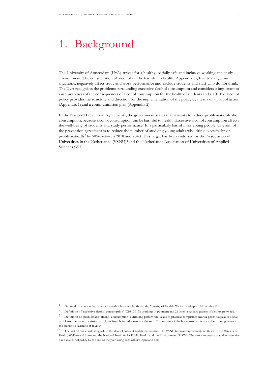### <span id="page-3-0"></span>1. Background

The University of Amsterdam (UvA) strives for a healthy, socially safe and inclusive working and study environment. The consumption of alcohol can be harmful to health (Appendix 3), lead to dangerous situations, negatively affect study and work performance and exclude students and staff who do not drink. The UvA recognises the problems surrounding excessive alcohol consumption and considers it important to raise awareness of the consequences of alcohol consumption for the health of students and staff. The alcohol policy provides the structure and direction for the implementation of the policy by means of a plan of action (Appendix 1) and a communication plan (Appendix 2).

In the National Prevention Agreement<sup>1</sup>, the government states that it wants to reduce problematic alcohol consumption, because alcohol consumption can be harmful to health. Excessive alcohol consumption affects the well-being of students and study performance. It is particularly harmful for young people. The aim of the prevention agreement is to reduce the number of studying young adults who drink excessively<sup>2</sup> or problematically3 by 50% between 2018 and 2040. This target has been endorsed by the Association of Universities in the Netherlands (VSNU)<sup>4</sup> and the Netherlands Association of Universities of Applied Sciences (VH).

<sup>1</sup> National Prevention Agreement towards a healthier Netherlands, Ministry of Health, Welfare and Sport, November 2018.<br>2 Definition of integering elechal commention' (CBS-2017); dripling 14 (women) and 21 (map) standard el

<sup>2</sup> Definition of 'excessive alcohol consumption' (CBS, 2017): drinking 14 (women) and 21 (men) standard glasses of alcohol per week.

<sup>3</sup> Definition of 'problematic' alcohol consumption: a drinking pattern that leads to physical complaints and/or psychological or social problems that prevent existing problems from being adequately addressed. The amount of alcohol consumed is not a determining factor in the diagnosis. (Schulte et al, 2014).

<sup>4</sup> The VSNU has a facilitating role in the alcohol policy at Dutch Universities. The VSNU has made agreements on this with the Ministry of Health, Welfare and Sport and the National Institute for Public Health and the Environment (RIVM). The aim is to ensure that all universities have an alcohol policy by the end of the year, using each other's input and help.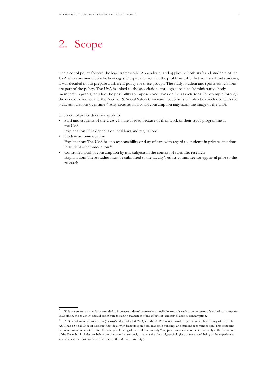### <span id="page-4-0"></span>2. Scope

The alcohol policy follows the legal framework (Appendix 5) and applies to both staff and students of the UvA who consume alcoholic beverages. Despite the fact that the problems differ between staff and students, it was decided not to prepare a different policy for these groups. The study, student and sports associations are part of the policy. The UvA is linked to the associations through subsidies (administrative body membership grants) and has the possibility to impose conditions on the associations, for example through the code of conduct and the Alcohol & Social Safety Covenant. Covenants will also be concluded with the study associations over time <sup>5</sup>. Any excesses in alcohol consumption may harm the image of the UvA.

The alcohol policy does not apply to:

- Staff and students of the UvA who are abroad because of their work or their study programme at the UvA.
	- Explanation: This depends on local laws and regulations.
- Student accommodation Explanation: The UvA has no responsibility or duty of care with regard to students in private situations in student accommodation <sup>6</sup>.
- Controlled alcohol consumption by trial subjects in the context of scientific research. Explanation: These studies must be submitted to the faculty's ethics committee for approval prior to the research.

<sup>5</sup> This covenant is particularly intended to increase students' sense of responsibility towards each other in terms of alcohol consumption. In addition, the covenant should contribute to raising awareness of the effects of (excessive) alcohol consumption.

<sup>6</sup> AUC student accommodation ('dorms') falls under DUWO, and the AUC has no formal/legal responsibility or duty of care. The AUC has a Social Code of Conduct that deals with behaviour in both academic buildings and student accommodation. This concerns behaviour or actions that threaten the safety/well-being of the AUC community ('inappropriate social conduct is ultimately at the discretion of the Dean, but includes any behaviour or action that seriously threatens the physical, psychological, or social well-being or the experienced safety of a student or any other member of the AUC community').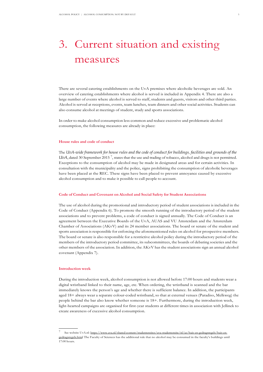## <span id="page-5-0"></span>3. Current situation and existing measures

There are several catering establishments on the UvA premises where alcoholic beverages are sold. An overview of catering establishments where alcohol is served is included in Appendix 4. There are also a large number of events where alcohol is served to staff, students and guests, visitors and other third parties. Alcohol is served at receptions, events, team lunches, team dinners and other social activities. Students can also consume alcohol at meetings of student, study and sports associations.

In order to make alcohol consumption less common and reduce excessive and problematic alcohol consumption, the following measures are already in place:

#### **House rules and code of conduct**

The *UvA-wide framework for house rules and the code of conduct for buildings, facilities and grounds of the*  UvA, dated 30 September 2015<sup>7</sup>, states that the use and trading of tobacco, alcohol and drugs is not permitted. Exceptions to the consumption of alcohol may be made in designated areas and for certain activities. In consultation with the municipality and the police, signs prohibiting the consumption of alcoholic beverages have been placed at the REC. These signs have been placed to prevent annoyance caused by excessive alcohol consumption and to make it possible to call people to account.

#### **Code of Conduct and Covenant on Alcohol and Social Safety for Student Associations**

The use of alcohol during the promotional and introductory period of student associations is included in the Code of Conduct (Appendix 6). To promote the smooth running of the introductory period of the student associations and to prevent problems, a code of conduct is signed annually. The Code of Conduct is an agreement between the Executive Boards of the UvA, AUAS and VU Amsterdam and the Amsterdam Chamber of Associations (AKvV) and its 24 member associations. The board or senate of the student and sports association is responsible for enforcing the aforementioned rules on alcohol for prospective members. The board or senate is also responsible for a restrictive alcohol policy during the introductory period of the members of the introductory period committee, its subcommittees, the boards of debating societies and the other members of the association. In addition, the AKvV has the student associations sign an annual alcohol covenant (Appendix 7).

#### **Introduction week**

During the introduction week, alcohol consumption is not allowed before 17:00 hours and students wear a digital wristband linked to their name, age, etc. When ordering, the wristband is scanned and the bar immediately knows the person's age and whether there is sufficient balance. In addition, the participants aged 18+ always wear a separate colour-coded wristband, so that at external venues (Paradiso, Melkweg) the people behind the bar also know whether someone is 18+. Furthermore, during the introduction week, light-hearted campaigns are organised for first-year students at different times in association with Jellinek to create awareness of excessive alcohol consumption.

See website UvA.nl: [https://www.uva.nl/shared-content/studentensites/uva-studentensite/nl/az/huis-en-gedragsregels/huis-en](https://www.uva.nl/shared-content/studentensites/uva-studentensite/nl/az/huis-en-gedragsregels/huis-en-gedragsregels.html)[gedragsregels.html T](https://www.uva.nl/shared-content/studentensites/uva-studentensite/nl/az/huis-en-gedragsregels/huis-en-gedragsregels.html)he Faculty of Sciences has the additional rule that no alcohol may be consumed in the faculty's buildings until 17:00 hours.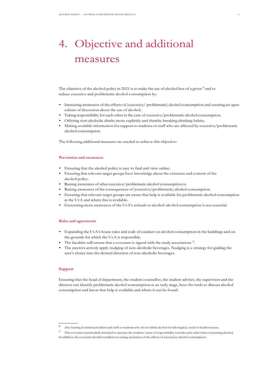# <span id="page-6-0"></span>4. Objective and additional measures

The objective of the alcohol policy in 2021 is to make the use of alcohol less of a given  $8$  and to reduce excessive and problematic alcohol consumption by:

- Increasing awareness of the effects of (excessive/ problematic) alcohol consumption and creating an open culture of discussion about the use of alcohol;
- Taking responsibility for each other in the case of excessive/problematic alcohol consumption.
- Offering non-alcoholic drinks more explicitly and thereby breaking drinking habits;
- Making available information for support to students or staff who are affected by excessive/problematic alcohol consumption.

The following additional measures are needed to achieve this objective:

#### **Prevention and awareness**

- Ensuring that the alcohol policy is easy to find and view online.
- Ensuring that relevant target groups have knowledge about the existence and content of the alcohol policy.
- Raising awareness of what excessive/problematic alcohol consumption is.
- Raising awareness of the consequences of (excessive/problematic) alcohol consumption.
- Ensuring that relevant target groups are aware that help is available for problematic alcohol consumption at the UvA and where this is available.
- Generating more awareness of the UvA's attitude to alcohol: alcohol consumption is not essential.

#### **Rules and agreements**

- Expanding the UvA's house rules and code of conduct on alcohol consumption in the buildings and on the grounds for which the UvA is responsible.
- The faculties will ensure that a covenant is signed with the study associations <sup>9</sup> .
- The caterers actively apply nudging of non-alcoholic beverages. Nudging is a strategy for guiding the user's choice into the desired direction of non-alcoholic beverages.

#### **Support**

Ensuring that the head of department, the student counsellor, the student adviser, the supervisor and the director can identify problematic alcohol consumption at an early stage, have the tools to discuss alcohol consumption and know that help is available and where it can be found.

<sup>8</sup> Also bearing in mind teetotallers and staff or students who do not drink alcohol for ideological, social or health reasons.

<sup>&</sup>lt;sup>9</sup> This covenant is particularly intended to increase the students' sense of responsibility towards each other when consuming alcohol. In addition, the covenant should contribute to raising awareness of the effects of (excessive) alcohol consumption.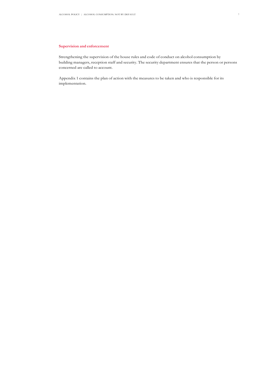#### **Supervision and enforcement**

Strengthening the supervision of the house rules and code of conduct on alcohol consumption by building managers, reception staff and security. The security department ensures that the person or persons concerned are called to account.

Appendix 1 contains the plan of action with the measures to be taken and who is responsible for its implementation.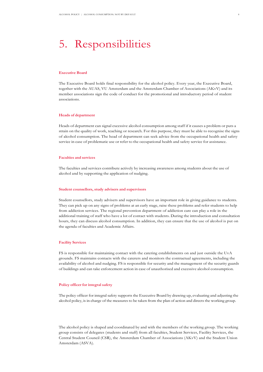### <span id="page-8-0"></span>5. Responsibilities

#### **Executive Board**

The Executive Board holds final responsibility for the alcohol policy. Every year, the Executive Board, together with the AUAS, VU Amsterdam and the Amsterdam Chamber of Associations (AKvV) and its member associations sign the code of conduct for the promotional and introductory period of student associations.

#### **Heads of department**

Heads of department can signal excessive alcohol consumption among staff if it causes a problem or puts a strain on the quality of work, teaching or research. For this purpose, they must be able to recognise the signs of alcohol consumption. The head of department can seek advice from the occupational health and safety service in case of problematic use or refer to the occupational health and safety service for assistance.

#### **Faculties and services**

The faculties and services contribute actively by increasing awareness among students about the use of alcohol and by supporting the application of nudging.

#### **Student counsellors, study advisers and supervisors**

Student counsellors, study advisers and supervisors have an important role in giving guidance to students. They can pick up on any signs of problems at an early stage, raise these problems and refer students to help from addiction services. The regional prevention department of addiction care can play a role in the additional training of staff who have a lot of contact with students. During the introduction and consultation hours, they can discuss alcohol consumption. In addition, they can ensure that the use of alcohol is put on the agenda of faculties and Academic Affairs.

#### **Facility Services**

FS is responsible for maintaining contact with the catering establishments on and just outside the UvA grounds. FS maintains contacts with the caterers and monitors the contractual agreements, including the availability of alcohol and nudging. FS is responsible for security and the management of the security guards of buildings and can take enforcement action in case of unauthorised and excessive alcohol consumption.

#### **Policy officer for integral safety**

The policy officer for integral safety supports the Executive Board by drawing up, evaluating and adjusting the alcohol policy, is in charge of the measures to be taken from the plan of action and directs the working group.

The alcohol policy is shaped and coordinated by and with the members of the working group. The working group consists of delegates (students and staff) from all faculties, Student Services, Facility Services, the Central Student Council (CSR), the Amsterdam Chamber of Associations (AKvV) and the Student Union Amsterdam (ASVA).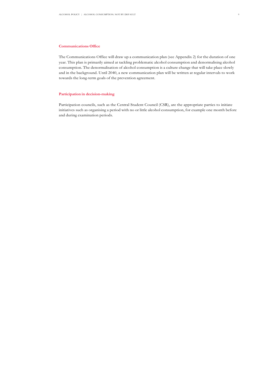#### **Communications Office**

The Communications Office will draw up a communication plan (see Appendix 2) for the duration of one year. This plan is primarily aimed at tackling problematic alcohol consumption and denormalising alcohol consumption. The denormalisation of alcohol consumption is a culture change that will take place slowly and in the background. Until 2040, a new communication plan will be written at regular intervals to work towards the long-term goals of the prevention agreement.

#### **Participation in decision-making**

Participation councils, such as the Central Student Council (CSR), are the appropriate parties to initiate initiatives such as organising a period with no or little alcohol consumption, for example one month before and during examination periods.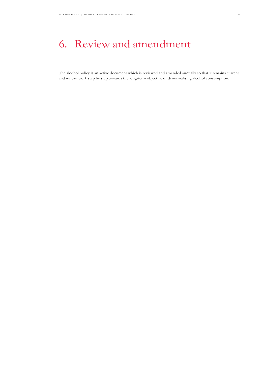### <span id="page-10-0"></span>6. Review and amendment

The alcohol policy is an active document which is reviewed and amended annually so that it remains current and we can work step by step towards the long-term objective of denormalising alcohol consumption.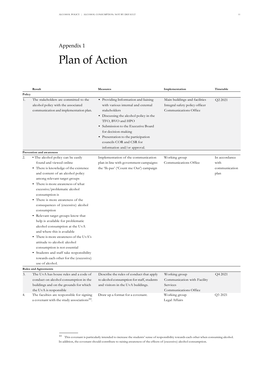# Plan of Action

Appendix 1

<span id="page-11-0"></span>

|          | Result                                                                                                                                                                                                                                                                                                                                                                                                                                                                                                                                                                                                                                                                                                                  | Measures                                                                                                                                                                                                                                                                                                                  | Implementation                                                                                     | Timetable                                      |
|----------|-------------------------------------------------------------------------------------------------------------------------------------------------------------------------------------------------------------------------------------------------------------------------------------------------------------------------------------------------------------------------------------------------------------------------------------------------------------------------------------------------------------------------------------------------------------------------------------------------------------------------------------------------------------------------------------------------------------------------|---------------------------------------------------------------------------------------------------------------------------------------------------------------------------------------------------------------------------------------------------------------------------------------------------------------------------|----------------------------------------------------------------------------------------------------|------------------------------------------------|
| Policy   |                                                                                                                                                                                                                                                                                                                                                                                                                                                                                                                                                                                                                                                                                                                         |                                                                                                                                                                                                                                                                                                                           |                                                                                                    |                                                |
| 1.       | The stakeholders are committed to the<br>alcohol policy with the associated<br>communication and implementation plan.                                                                                                                                                                                                                                                                                                                                                                                                                                                                                                                                                                                                   | • Providing Information and liaising<br>with various internal and external<br>stakeholders<br>• Discussing the alcohol policy in the<br>TFO, BVO and HPO<br>• Submission to the Executive Board<br>for decision-making<br>• Presentation to the participation<br>councils COR and CSR for<br>information and/or approval. | Main buildings and facilities<br>Integral safety policy officer<br>Communications Office           | Q2 2021                                        |
|          | Prevention and awareness                                                                                                                                                                                                                                                                                                                                                                                                                                                                                                                                                                                                                                                                                                |                                                                                                                                                                                                                                                                                                                           |                                                                                                    |                                                |
| 2.       | • The alcohol policy can be easily<br>found and viewed online<br>• There is knowledge of the existence<br>and content of an alcohol policy<br>among relevant target groups<br>There is more awareness of what<br>excessive/problematic alcohol<br>consumption is<br>• There is more awareness of the<br>consequences of (excessive) alcohol<br>consumption<br>• Relevant target groups know that<br>help is available for problematic<br>alcohol consumption at the UvA<br>and where this is available<br>There is more awareness of the UvA's<br>attitude to alcohol: alcohol<br>consumption is not essential<br>• Students and staff take responsibility<br>towards each other for the (excessive)<br>use of alcohol. | Implementation of the communication<br>plan in line with government campaigns:<br>the 'Ik-pas' ('Count me Out') campaign                                                                                                                                                                                                  | Working group<br>Communications Office                                                             | In accordance<br>with<br>communication<br>plan |
|          | <b>Rules and Agreements</b>                                                                                                                                                                                                                                                                                                                                                                                                                                                                                                                                                                                                                                                                                             |                                                                                                                                                                                                                                                                                                                           |                                                                                                    |                                                |
| 3.<br>4. | The UvA has house rules and a code of<br>conduct on alcohol consumption in the<br>buildings and on the grounds for which<br>the UvA is responsible<br>The faculties are responsible for signing                                                                                                                                                                                                                                                                                                                                                                                                                                                                                                                         | Describe the rules of conduct that apply<br>to alcohol consumption for staff, students<br>and visitors in the UvA buildings.<br>Draw up a format for a covenant.                                                                                                                                                          | Working group<br>Communication with Facility<br>Services<br>Communications Office<br>Working group | Q4 2021<br>Q3 2021                             |
|          | a covenant with the study associations <sup>10</sup> .                                                                                                                                                                                                                                                                                                                                                                                                                                                                                                                                                                                                                                                                  |                                                                                                                                                                                                                                                                                                                           | Legal Affairs                                                                                      |                                                |

 $^{10}\;$  This covenant is particularly intended to increase the students' sense of responsibility towards each other when consuming alcohol. In addition, the covenant should contribute to raising awareness of the effects of (excessive) alcohol consumption.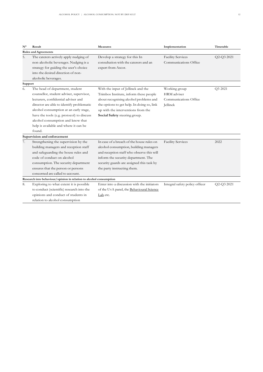| $N^{\circ}$ | Result                                                                                                                                                                                                                                                                                                                                         | <b>Measures</b>                                                                                                                                                                                                                                     | Implementation                                                    | Timetable  |
|-------------|------------------------------------------------------------------------------------------------------------------------------------------------------------------------------------------------------------------------------------------------------------------------------------------------------------------------------------------------|-----------------------------------------------------------------------------------------------------------------------------------------------------------------------------------------------------------------------------------------------------|-------------------------------------------------------------------|------------|
|             | <b>Rules and Agreements</b>                                                                                                                                                                                                                                                                                                                    |                                                                                                                                                                                                                                                     |                                                                   |            |
| 5.          | The caterers actively apply nudging of<br>non-alcoholic beverages. Nudging is a<br>strategy for guiding the user's choice<br>into the desired direction of non-<br>alcoholic beverages.                                                                                                                                                        | Develop a strategy for this In<br>consultation with the caterers and an<br>expert from Ascor.                                                                                                                                                       | <b>Facility Services</b><br>Communications Office                 | Q2-Q3 2021 |
| Support     |                                                                                                                                                                                                                                                                                                                                                |                                                                                                                                                                                                                                                     |                                                                   |            |
| 6.          | The head of department, student<br>counsellor, student adviser, supervisor,<br>lecturers, confidential adviser and<br>director are able to identify problematic<br>alcohol consumption at an early stage,<br>have the tools (e.g. protocol) to discuss<br>alcohol consumption and know that<br>help is available and where it can be<br>found. | With the input of Jellinek and the<br>Trimbos Institute, inform these people<br>about recognising alcohol problems and<br>the options to get help. In doing so, link<br>up with the interventions from the<br>Social Safety steering group.         | Working group<br>HRM adviser<br>Communications Office<br>Jellinek | Q3 2021    |
|             | Supervision and enforcement                                                                                                                                                                                                                                                                                                                    |                                                                                                                                                                                                                                                     |                                                                   |            |
| 7.          | Strengthening the supervision by the<br>building managers and reception staff<br>and safeguarding the house rules and<br>code of conduct on alcohol<br>consumption. The security department<br>ensures that the person or persons<br>concerned are called to account.                                                                          | In case of a breach of the house rules on<br>alcohol consumption, building managers<br>and reception staff who observe this will<br>inform the security department. The<br>security guards are assigned this task by<br>the party instructing them. | <b>Facility Services</b>                                          | 2022       |
|             | Research into behaviour/opinion in relation to alcohol consumption                                                                                                                                                                                                                                                                             |                                                                                                                                                                                                                                                     |                                                                   |            |
| 8.          | Exploring to what extent it is possible<br>to conduct (scientific) research into the<br>opinions and conduct of students in<br>relation to alcohol consumption                                                                                                                                                                                 | Enter into a discussion with the initiators<br>of the UvA panel, the Behavioural Science<br>Lab etc.                                                                                                                                                | Integral safety policy officer                                    | Q2-Q3 2021 |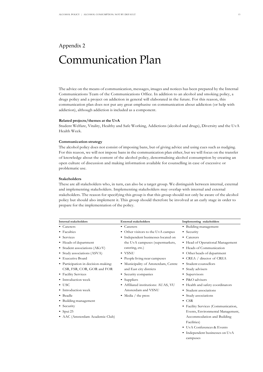### <span id="page-13-0"></span>Appendix 2 Communication Plan

The advice on the means of communication, messages, images and notices has been prepared by the Internal Communications Team of the Communications Office. In addition to an alcohol and smoking policy, a drugs policy and a project on addiction in general will elaborated in the future. For this reason, this communication plan does not put any great emphasise on communication about addiction (or help with addiction), although addiction is included as a component.

#### **Related projects/themes at the UvA**

Student Welfare, Vitality, Healthy and Safe Working, Addictions (alcohol and drugs), Diversity and the UvA Health Week.

#### **Communication strategy**

The alcohol policy does not consist of imposing bans, but of giving advice and using cues such as nudging. For this reason, we will not impose bans in the communication plan either, but we will focus on the transfer of knowledge about the content of the alcohol policy, denormalising alcohol consumption by creating an open culture of discussion and making information available for counselling in case of excessive or problematic use.

#### **Stakeholders**

These are all stakeholders who, in turn, can also be a target group. We distinguish between internal, external and implementing stakeholders. Implementing stakeholders may overlap with internal and external stakeholders. The reason for specifying this group is that this group should not only be aware of the alcohol policy but should also implement it. This group should therefore be involved at an early stage in order to prepare for the implementation of the policy.

| <b>Internal stakeholders</b>        | <b>External stakeholders</b>        | Implementing stakeholders           |
|-------------------------------------|-------------------------------------|-------------------------------------|
| • Caterers                          | • Caterers                          | • Building management               |
| • Faculties                         | • Other visitors to the UvA campus  | • Security                          |
| • Services                          | • Independent businesses located on | • Caterers                          |
| • Heads of department               | the UvA campuses (supermarkets,     | • Head of Operational Management    |
| • Student associations (AKvV)       | catering, etc.)                     | • Heads of Communication            |
| • Study associations (ASVA)         | $\bullet$ VSNU                      | • Other heads of department         |
| • Executive Board                   | • People living near campuses       | • CREA / director of CREA           |
| • Participation in decision-making: | • Municipality of Amsterdam, Centre | • Student counsellors               |
| CSR, FSR, COR, GOR and FOR          | and East city districts             | • Study advisers                    |
| • Facility Services                 | • Security companies                | • Supervisors                       |
| • Introduction week                 | • Suppliers                         | • P&O advisers                      |
| $\bullet$ USC                       | • Affiliated institutions: AUAS, VU | • Health and safety coordinators    |
| • Introduction week                 | Amsterdam and VSNU                  | • Student associations              |
| • Beadle                            | • Media / the press                 | • Study associations                |
| • Building management               |                                     | $\bullet$ CSR                       |
| • Security                          |                                     | • Facility Services (Communication, |
| • Spui $25$                         |                                     | Events, Environmental Management,   |
| • AAC (Amsterdam Academic Club)     |                                     | Accommodation and Building          |
|                                     |                                     | Facilities)                         |
|                                     |                                     | • UvA Conferences & Events          |
|                                     |                                     | • Independent businesses on UvA     |

campuses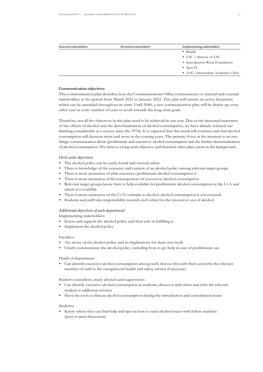| Internal stakeholders | <b>External stakeholders</b> | <b>Implementing stakeholders</b> |
|-----------------------|------------------------------|----------------------------------|
|                       |                              | • Beadle                         |
|                       |                              | • USC / director of USC          |
|                       |                              | • Introduction Week Foundation   |
|                       |                              | • Spui $25$                      |
|                       |                              | • AAC (Amsterdam Academic Club)  |

#### **Communication objectives**

This communication plan describes how the Communications Office communicates to internal and external stakeholders in the period from March 2021 to January 2022. This plan will remain an active document which can be amended throughout its term. Until 2040, a new communication plan will be drawn up every other year or every number of years to work towards the long-term goals.

Therefore, not all the objectives in this plan need to be achieved in one year. Due to the increased awareness of the effects of alcohol and the denormalisation of alcohol consumption, we have already reduced our drinking considerably as a society since the 1970s. It is expected that this trend will continue and that alcohol consumption will decrease more and more in the coming years. The primary focus at the moment is on two things: communication about (problematic and excessive) alcohol consumption and the further denormalisation of alcohol consumption. The latter is a long-term objective and therefore takes place more in the background.

#### *UvA-wide objectives*

- The alcohol policy can be easily found and viewed online
- There is knowledge of the existence and content of an alcohol policy among relevant target groups
- There is more awareness of what excessive/problematic alcohol consumption is
- There is more awareness of the consequences of (excessive) alcohol consumption
- Relevant target groups know there is help available for problematic alcohol consumption at the UvA and where it is available
- There is more awareness of the UvA's attitude to alcohol: alcohol consumption is not essential
- Students and staff take responsibility towards each other for the (excessive) use of alcohol.

#### *Additional objectives of each department*

Implementing stakeholders:

- Know and support the alcohol policy and their role in fulfilling it.
- Implement the alcohol policy

#### Faculties:

- Are aware of the alcohol policy and its implications for their own work
- Clearly communicate the alcohol policy, including how to get help in case of problematic use

#### Heads of department:

• Can identify excessive alcohol consumption among staff, discuss this with them and refer the relevant member of staff to the occupational health and safety service if necessary

Student counsellors, study advisers and supervisors:

- Can identify excessive alcohol consumption in students, discuss it with them and refer the relevant student to addiction services
- Have the tools to discuss alcohol consumption during the introduction and consultation hours

#### Students:

• Know where they can find help and tips on how to raise alcohol issues with fellow students (peer-to-peer discussion)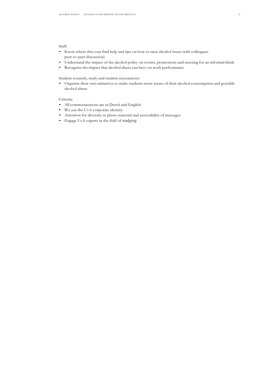#### Staff:

- Know where they can find help and tips on how to raise alcohol issues with colleagues peer-to-peer discussion)
- Understand the impact of the alcohol policy on events, promotions and meeting for an informal drink
- Recognise the impact that alcohol abuse can have on work performance

Student councils, study and student associations:

• Organise their own initiatives to make students more aware of their alcohol consumption and possible alcohol abuse

#### Criteria:

- All communications are in Dutch and English
- We use the UvA corporate identity
- Attention for diversity in photo material and accessibility of messages
- Engage UvA experts in the field of *nudging*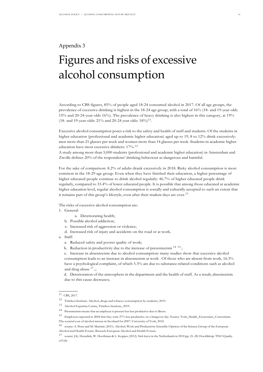#### <span id="page-16-0"></span>Appendix 3

# Figures and risks of excessive alcohol consumption

According to CBS figures, 85% of people aged 18-24 consumed alcohol in 2017. Of all age groups, the prevalence of excessive drinking is highest in the 18-24 age group, with a total of 16% (18- and 19-year-olds 15% and 20-24-year-olds 16%). The prevalence of heavy drinking is also highest in this category, at 19% (18- and 19-year-olds: 21% and 20-24 year olds:  $18\%$ )<sup>11</sup>.

Excessive alcohol consumption poses a risk to the safety and health of staff and students. Of the students in higher education (professional and academic higher education) aged up to 19, 8 to 12% drink excessively: men more than 21 glasses per week and women more than 14 glasses per week. Students in academic higher education have most excessive drinkers: 17%.<sup>12</sup>

A study among more than 5,000 students (professional and academic higher education) in Amsterdam and Zwolle defines 20% of the respondents' drinking behaviour as dangerous and harmful.

For the sake of comparison: 8.2% of adults drank excessively in 2018. Risky alcohol consumption is most common in the 18-29 age group. Even when they have finished their education, a higher percentage of higher educated people continue to drink alcohol regularly: 46.7% of higher educated people drink regularly, compared to 33.4% of lower educated people. It is possible that among those educated at academic higher education level, regular alcohol consumption is socially and culturally accepted to such an extent that it remains part of this group's lifestyle, even after their student days are over.<sup>13</sup>

The risks of excessive alcohol consumption are:

1. General:

- a. Deteriorating health;
- b. Possible alcohol addiction;
- c. Increased risk of aggression or violence;
- d. Increased risk of injury and accidents on the road or at work.

a. Staff:

- a. Reduced safety and poorer quality of work;
- b. Reduction in productivity due to the increase of presenteeism  $^{14}$   $^{15}$ ;

c. Increase in absenteeism due to alcohol consumption: many studies show that excessive alcohol consumption leads to an increase in absenteeism at work . Of those who are absent from work, 16.3% have a psychological complaint, of which 5.3% are due to substance-related conditions such as alcohol and drug abuse  $17$ ..;

d. Deterioration of the atmosphere in the department and the health of staff. As a result, absenteeism due to this cause decreases;

<sup>11</sup> CBS, 2017.

<sup>12</sup> TrimbosInstitute. Alcohol, drugs and tobacco consumption by students, 2019.

<sup>13</sup> Alcohol Expertise Centre, Trimbos Institute, 2019.

<sup>14</sup> Presenteeism means that an employee is present but less productive due to illness.

<sup>15</sup> Employees reported in 2004 that they were 27% less productive on a hangover day. Source: York\_Health\_Economics\_Consortium. The societal cost of alcohol misuse in Scotland for 2007: University of York, 2010.

<sup>16</sup> source: A. Peter and M. Martinic (2011). Alcohol, Work and Productivity Scientific Opinion of the Science Group of the European Alcohol and Health Forum. Brussels European Alcohol and Health Forum.

<sup>17</sup> source: J.K. Hesselink, W. Hooftman & L. Koppes (2012). Sick leave in the Netherlands in 2010 pp. 21–28. Hoofddorp: TNO Quality of Life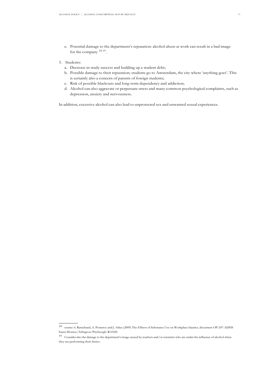- e. Potential damage to the department's reputation: alcohol abuse at work can result in a bad image for the company  $^{18}$  19.
- 3. Students:
	- a. Decrease in study success and building up a student debt;
	- b. Possible damage to their reputation; students go to Amsterdam, the city where 'anything goes'. This is certainly also a concern of parents of foreign students;
	- c. Risk of possible blackouts and long-term dependency and addiction;
	- d. Alcohol can also aggravate or perpetuate stress and many common psychological complaints, such as depression, anxiety and nervousness.

In addition, excessive alcohol can also lead to unprotected sex and unwanted sexual experiences.

<sup>18</sup> source: 6. Ramchand, A. Pomeroy and J. Arkes (2009) The Effects of Substance Use on Workplace Injuries, document OP-247-ADHS Santa Monica/Arlington/Pittsburgh: RAND.

<sup>19</sup> Consider also the damage to the department'simage caused by teachers and/or scientists who are under the influence of alcohol when they are performing their duties.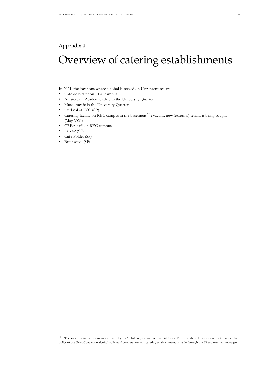#### <span id="page-18-0"></span>Appendix 4

# Overview of catering establishments

In 2021, the locations where alcohol is served on UvA premises are:

- Café de Krater on REC campus
- Amsterdam Academic Club in the University Quarter
- Museumcafé in the University Quarter
- Oerknal at USC (SP)
- Catering facility on REC campus in the basement <sup>20</sup>: vacant, new (external) tenant is being sought (May 2021)
- CREA café on REC campus
- $\bullet$  Lab 42 (SP)
- Cafe Polder (SP)
- Brainwave (SP)

 $20$  The locations in the basement are leased by UvA Holding and are commercial leases. Formally, these locations do not fall under the policy of the UvA. Contact on alcohol policy and cooperation with catering establishments is made through the FS environment managers.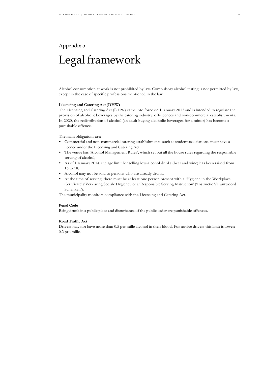### <span id="page-19-0"></span>Appendix 5 Legal framework

Alcohol consumption at work is not prohibited by law. Compulsory alcohol testing is not permitted by law, except in the case of specific professions mentioned in the law.

#### **Licensing and Catering Act (DHW)**

The Licensing and Catering Act (DHW) came into force on 1 January 2013 and is intended to regulate the provision of alcoholic beverages by the catering industry, off-licences and non-commercial establishments. In 2020, the redistribution of alcohol (an adult buying alcoholic beverages for a minor) has become a punishable offence.

The main obligations are:

- Commercial and non-commercial catering establishments, such as student associations, must have a licence under the Licensing and Catering Act;
- The venue has 'Alcohol Management Rules', which set out all the house rules regarding the responsible serving of alcohol;
- As of 1 January 2014, the age limit for selling low-alcohol drinks (beer and wine) has been raised from 16 to 18;
- Alcohol may not be sold to persons who are already drunk;
- At the time of serving, there must be at least one person present with a 'Hygiene in the Workplace Certificate' ('Verklaring Sociale Hygiëne') or a 'Responsible Serving Instruction' ('Instructie Verantwoord Schenken').

The municipality monitors compliance with the Licensing and Catering Act.

#### **Penal Code**

Being drunk in a public place and disturbance of the public order are punishable offences.

#### **Road Traffic Act**

Drivers may not have more than 0.5 per mille alcohol in their blood. For novice drivers this limit is lower: 0.2 pro mille.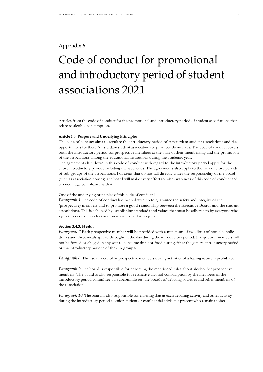#### <span id="page-20-0"></span>Appendix 6

# Code of conduct for promotional and introductory period of student associations 2021

Articles from the code of conduct for the promotional and introductory period of student associations that relate to alcohol consumption.

#### **Article 1.3. Purpose and Underlying Principles**

The code of conduct aims to regulate the introductory period of Amsterdam student associations and the opportunities for these Amsterdam student associations to promote themselves. The code of conduct covers both the introductory period for prospective members at the start of their membership and the promotion of the associations among the educational institutions during the academic year.

The agreements laid down in this code of conduct with regard to the introductory period apply for the entire introductory period, including the weekends. The agreements also apply to the introductory periods of sub-groups of the associations. For areas that do not fall directly under the responsibility of the board (such as association houses), the board will make every effort to raise awareness of this code of conduct and to encourage compliance with it.

#### One of the underlying principles of this code of conduct is:

*Paragraph 1* The code of conduct has been drawn up to guarantee the safety and integrity of the (prospective) members and to promote a good relationship between the Executive Boards and the student associations. This is achieved by establishing standards and values that must be adhered to by everyone who signs this code of conduct and on whose behalf it is signed.

#### **Section 3.4.3. Health**

*Paragraph 7* Each prospective member will be provided with a minimum of two litres of non-alcoholic drinks and three meals spread throughout the day during the introductory period. Prospective members will not be forced or obliged in any way to consume drink or food during either the general introductory period or the introductory periods of the sub-groups.

*Paragraph 8* The use of alcohol by prospective members during activities of a hazing nature is prohibited.

*Paragraph 9* The board is responsible for enforcing the mentioned rules about alcohol for prospective members. The board is also responsible for restrictive alcohol consumption by the members of the introductory period committee, its subcommittees, the boards of debating societies and other members of the association.

*Paragraph 10* The board is also responsible for ensuring that at each debating activity and other activity during the introductory period a senior student or confidential adviser is present who remains sober.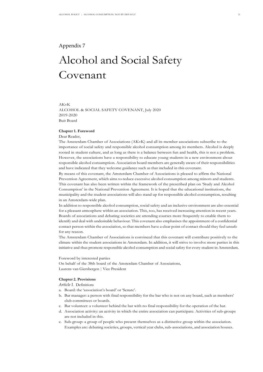#### <span id="page-21-0"></span>Appendix 7

# Alcohol and Social Safety Covenant

#### AKvK ALCOHOL & SOCIAL SAFETY COVENANT, July 2020 2019-2020 Buit Board

#### **Chapter 1. Foreword**

#### Dear Reader,

The Amsterdam Chamber of Associations (AKvK) and all its member associations subscribe to the importance of social safety and responsible alcohol consumption among its members. Alcohol is deeply rooted in student culture, and as long as there is a balance between fun and health, this is not a problem. However, the associations have a responsibility to educate young students in a new environment about responsible alcohol consumption. Association board members are generally aware of their responsibilities and have indicated that they welcome guidance such as that included in this covenant.

By means of this covenant, the Amsterdam Chamber of Associations is pleased to affirm the National Prevention Agreement, which aims to reduce excessive alcohol consumption among minors and students. This covenant has also been written within the framework of the prescribed plan on 'Study and Alcohol Consumption' in the National Prevention Agreement. It is hoped that the educational institutions, the municipality and the student associations will also stand up for responsible alcohol consumption, resulting in an Amsterdam-wide plan.

In addition to responsible alcohol consumption, social safety and an inclusive environment are also essential for a pleasant atmosphere within an association. This, too, has received increasing attention in recent years. Boards of associations and debating societies are attending courses more frequently to enable them to identify and deal with undesirable behaviour. This covenant also emphasises the appointment of a confidential contact person within the association, so that members have a clear point of contact should they feel unsafe for any reason.

The Amsterdam Chamber of Associations is convinced that this covenant will contribute positively to the climate within the student associations in Amsterdam. In addition, it will strive to involve more parties in this initiative and thus promote responsible alcohol consumption and social safety for every student in Amsterdam.

#### Foreword by interested parties

On behalf of the 38th board of the Amsterdam Chamber of Associations, Laurens van Giersbergen | Vice President

#### **Chapter 2. Provisions**

#### *Article 1*. Definitions

- a. Board: the 'association's board' or 'Senate'.
- b. Bar manager: a person with final responsibility for the bar who is not on any board, such as members' club committees or boards.
- c. Bar volunteer: a volunteer behind the bar with no final responsibility for the operation of the bar.
- d. Association activity: an activity in which the entire association can participate. Activities of sub-groups are not included in this.
- e. Sub-group: a group of people who present themselves as a distinctive group within the association. Examples are: debating societies, groups, vertical year clubs, sub-associations, and association houses.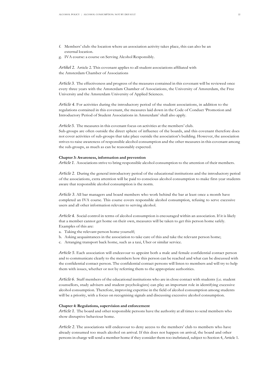- f. Members' club: the location where an association activity takes place, this can also be an external location.
- g. IVA course: a course on Serving Alcohol Responsibly.

*Artikel 2*. Article 2. This covenant applies to all student associations affiliated with the Amsterdam Chamber of Associations

*Article 3*. The effectiveness and progress of the measures contained in this covenant will be reviewed once every three years with the Amsterdam Chamber of Associations, the University of Amsterdam, the Free University and the Amsterdam University of Applied Sciences.

*Article 4*. For activities during the introductory period of the student associations, in addition to the regulations contained in this covenant, the measures laid down in the Code of Conduct 'Promotion and Introductory Period of Student Associations in Amsterdam' shall also apply.

*Article 5*. The measures in this covenant focus on activities at the members' club.

Sub-groups are often outside the direct sphere of influence of the boards, and this covenant therefore does not cover activities of sub-groups that take place outside the association's building. However, the association strives to raise awareness of responsible alcohol consumption and the other measures in this covenant among the sub-groups, as much as can be reasonably expected.

#### **Chapter 3: Awareness, information and prevention**

*Article 1*. Associations strive to bring responsible alcohol consumption to the attention of their members.

*Article 2*. During the general introductory period of the educational institutions and the introductory period of the associations, extra attention will be paid to conscious alcohol consumption to make first-year students aware that responsible alcohol consumption is the norm.

*Article 3*. All bar managers and board members who work behind the bar at least once a month have completed an IVA course. This course covers responsible alcohol consumption, refusing to serve excessive users and all other information relevant to serving alcohol.

*Article 4*. Social control in terms of alcohol consumption is encouraged within an association. If it is likely that a member cannot get home on their own, measures will be taken to get this person home safely. Examples of this are:

- a. Taking the relevant person home yourself;
- b. Asking acquaintances in the association to take care of this and take the relevant person home;
- c. Arranging transport back home, such as a taxi, Uber or similar service.

*Article 5*. Each association will endeavour to appoint both a male and female confidential contact person and to communicate clearly to the members how this person can be reached and what can be discussed with the confidential contact person. The confidential contact persons will listen to members and will try to help them with issues, whether or not by referring them to the appropriate authorities.

*Article 6*. Staff members of the educational institutions who are in close contact with students (i.e. student counsellors, study advisers and student psychologists) can play an important role in identifying excessive alcohol consumption. Therefore, improving expertise in the field of alcohol consumption among students will be a priority, with a focus on recognising signals and discussing excessive alcohol consumption.

#### **Chapter 4: Regulations, supervision and enforcement**

*Article 1*. The board and other responsible persons have the authority at all times to send members who show disruptive behaviour home.

*Article 2*. The associations will endeavour to deny access to the members' club to members who have already consumed too much alcohol on arrival. If this does not happen on arrival, the board and other persons in charge will send a member home if they consider them too inebriated, subject to Section 4, Article 1.